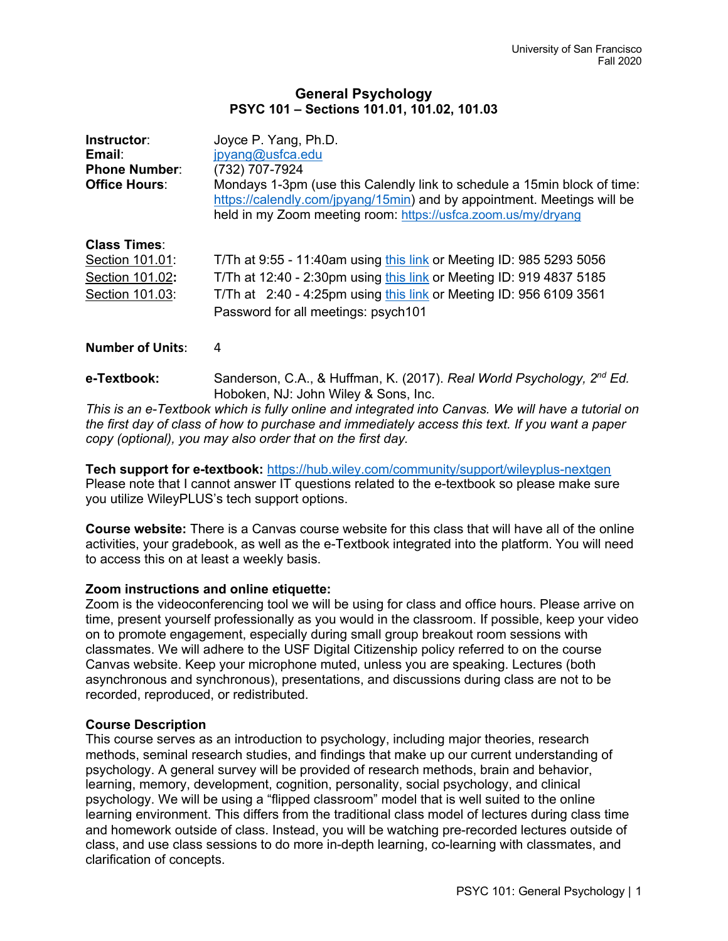## **General Psychology PSYC 101 – Sections 101.01, 101.02, 101.03**

| Instructor:<br>Email:<br><b>Phone Number:</b><br><b>Office Hours:</b> | Joyce P. Yang, Ph.D.<br>jpyang@usfca.edu<br>(732) 707-7924<br>Mondays 1-3pm (use this Calendly link to schedule a 15min block of time:<br>https://calendly.com/jpyang/15min) and by appointment. Meetings will be<br>held in my Zoom meeting room: https://usfca.zoom.us/my/dryang |
|-----------------------------------------------------------------------|------------------------------------------------------------------------------------------------------------------------------------------------------------------------------------------------------------------------------------------------------------------------------------|
| <b>Class Times:</b>                                                   | T/Th at 9:55 - 11:40am using this link or Meeting ID: 985 5293 5056                                                                                                                                                                                                                |
| Section 101.01:                                                       | T/Th at 12:40 - 2:30pm using this link or Meeting ID: 919 4837 5185                                                                                                                                                                                                                |
| Section 101.02:                                                       | T/Th at 2:40 - 4:25pm using this link or Meeting ID: 956 6109 3561                                                                                                                                                                                                                 |
| Section 101.03:                                                       | Password for all meetings: psych101                                                                                                                                                                                                                                                |

## **Number of Units**: 4

**e-Textbook:** Sanderson, C.A., & Huffman, K. (2017). *Real World Psychology, 2nd Ed.*  Hoboken, NJ: John Wiley & Sons, Inc.

*This is an e-Textbook which is fully online and integrated into Canvas. We will have a tutorial on the first day of class of how to purchase and immediately access this text. If you want a paper copy (optional), you may also order that on the first day.*

#### **Tech support for e-textbook:** https://hub.wiley.com/community/support/wileyplus-nextgen Please note that I cannot answer IT questions related to the e-textbook so please make sure you utilize WileyPLUS's tech support options.

**Course website:** There is a Canvas course website for this class that will have all of the online activities, your gradebook, as well as the e-Textbook integrated into the platform. You will need to access this on at least a weekly basis.

# **Zoom instructions and online etiquette:**

Zoom is the videoconferencing tool we will be using for class and office hours. Please arrive on time, present yourself professionally as you would in the classroom. If possible, keep your video on to promote engagement, especially during small group breakout room sessions with classmates. We will adhere to the USF Digital Citizenship policy referred to on the course Canvas website. Keep your microphone muted, unless you are speaking. Lectures (both asynchronous and synchronous), presentations, and discussions during class are not to be recorded, reproduced, or redistributed.

# **Course Description**

This course serves as an introduction to psychology, including major theories, research methods, seminal research studies, and findings that make up our current understanding of psychology. A general survey will be provided of research methods, brain and behavior, learning, memory, development, cognition, personality, social psychology, and clinical psychology. We will be using a "flipped classroom" model that is well suited to the online learning environment. This differs from the traditional class model of lectures during class time and homework outside of class. Instead, you will be watching pre-recorded lectures outside of class, and use class sessions to do more in-depth learning, co-learning with classmates, and clarification of concepts.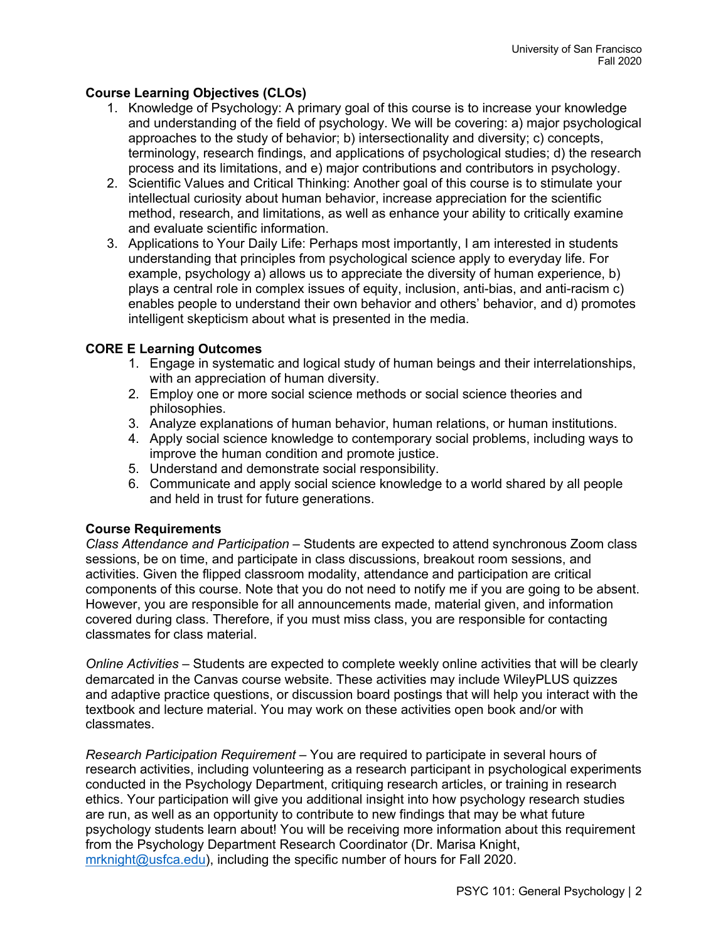# **Course Learning Objectives (CLOs)**

- 1. Knowledge of Psychology: A primary goal of this course is to increase your knowledge and understanding of the field of psychology. We will be covering: a) major psychological approaches to the study of behavior; b) intersectionality and diversity; c) concepts, terminology, research findings, and applications of psychological studies; d) the research process and its limitations, and e) major contributions and contributors in psychology.
- 2. Scientific Values and Critical Thinking: Another goal of this course is to stimulate your intellectual curiosity about human behavior, increase appreciation for the scientific method, research, and limitations, as well as enhance your ability to critically examine and evaluate scientific information.
- 3. Applications to Your Daily Life: Perhaps most importantly, I am interested in students understanding that principles from psychological science apply to everyday life. For example, psychology a) allows us to appreciate the diversity of human experience, b) plays a central role in complex issues of equity, inclusion, anti-bias, and anti-racism c) enables people to understand their own behavior and others' behavior, and d) promotes intelligent skepticism about what is presented in the media.

# **CORE E Learning Outcomes**

- 1. Engage in systematic and logical study of human beings and their interrelationships, with an appreciation of human diversity.
- 2. Employ one or more social science methods or social science theories and philosophies.
- 3. Analyze explanations of human behavior, human relations, or human institutions.
- 4. Apply social science knowledge to contemporary social problems, including ways to improve the human condition and promote justice.
- 5. Understand and demonstrate social responsibility.
- 6. Communicate and apply social science knowledge to a world shared by all people and held in trust for future generations.

# **Course Requirements**

*Class Attendance and Participation* – Students are expected to attend synchronous Zoom class sessions, be on time, and participate in class discussions, breakout room sessions, and activities. Given the flipped classroom modality, attendance and participation are critical components of this course. Note that you do not need to notify me if you are going to be absent. However, you are responsible for all announcements made, material given, and information covered during class. Therefore, if you must miss class, you are responsible for contacting classmates for class material.

*Online Activities* – Students are expected to complete weekly online activities that will be clearly demarcated in the Canvas course website. These activities may include WileyPLUS quizzes and adaptive practice questions, or discussion board postings that will help you interact with the textbook and lecture material. You may work on these activities open book and/or with classmates.

*Research Participation Requirement* – You are required to participate in several hours of research activities, including volunteering as a research participant in psychological experiments conducted in the Psychology Department, critiquing research articles, or training in research ethics. Your participation will give you additional insight into how psychology research studies are run, as well as an opportunity to contribute to new findings that may be what future psychology students learn about! You will be receiving more information about this requirement from the Psychology Department Research Coordinator (Dr. Marisa Knight, mrknight@usfca.edu), including the specific number of hours for Fall 2020.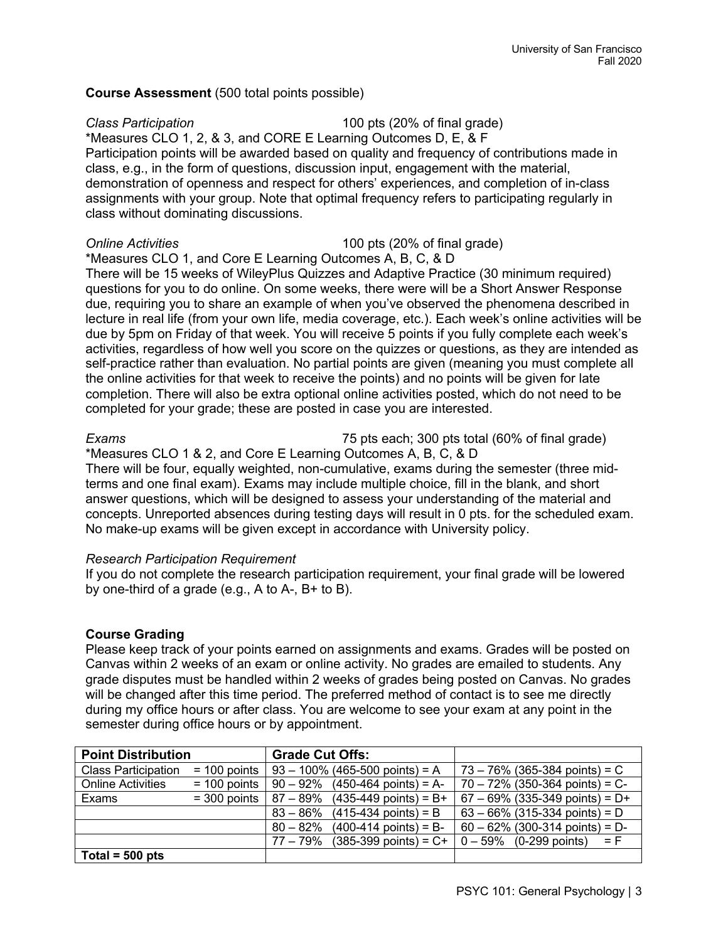## **Course Assessment** (500 total points possible)

*Class Participation* 100 pts (20% of final grade) \*Measures CLO 1, 2, & 3, and CORE E Learning Outcomes D, E, & F Participation points will be awarded based on quality and frequency of contributions made in class, e.g., in the form of questions, discussion input, engagement with the material, demonstration of openness and respect for others' experiences, and completion of in-class assignments with your group. Note that optimal frequency refers to participating regularly in class without dominating discussions.

*Online Activities* 100 pts (20% of final grade)

\*Measures CLO 1, and Core E Learning Outcomes A, B, C, & D There will be 15 weeks of WileyPlus Quizzes and Adaptive Practice (30 minimum required) questions for you to do online. On some weeks, there were will be a Short Answer Response due, requiring you to share an example of when you've observed the phenomena described in lecture in real life (from your own life, media coverage, etc.). Each week's online activities will be due by 5pm on Friday of that week. You will receive 5 points if you fully complete each week's activities, regardless of how well you score on the quizzes or questions, as they are intended as self-practice rather than evaluation. No partial points are given (meaning you must complete all the online activities for that week to receive the points) and no points will be given for late completion. There will also be extra optional online activities posted, which do not need to be completed for your grade; these are posted in case you are interested.

*Exams* 75 pts each; 300 pts total (60% of final grade)

\*Measures CLO 1 & 2, and Core E Learning Outcomes A, B, C, & D There will be four, equally weighted, non-cumulative, exams during the semester (three midterms and one final exam). Exams may include multiple choice, fill in the blank, and short answer questions, which will be designed to assess your understanding of the material and concepts. Unreported absences during testing days will result in 0 pts. for the scheduled exam. No make-up exams will be given except in accordance with University policy.

### *Research Participation Requirement*

If you do not complete the research participation requirement, your final grade will be lowered by one-third of a grade (e.g., A to A-, B+ to B).

### **Course Grading**

Please keep track of your points earned on assignments and exams. Grades will be posted on Canvas within 2 weeks of an exam or online activity. No grades are emailed to students. Any grade disputes must be handled within 2 weeks of grades being posted on Canvas. No grades will be changed after this time period. The preferred method of contact is to see me directly during my office hours or after class. You are welcome to see your exam at any point in the semester during office hours or by appointment.

| <b>Point Distribution</b>  |                | <b>Grade Cut Offs:</b>                                                              |
|----------------------------|----------------|-------------------------------------------------------------------------------------|
| <b>Class Participation</b> |                | $=$ 100 points   93 – 100% (465-500 points) = A<br>$73 - 76\%$ (365-384 points) = C |
| <b>Online Activities</b>   | $= 100$ points | $70 - 72\%$ (350-364 points) = C-<br>$90 - 92\%$ (450-464 points) = A-              |
| Exams                      | $=$ 300 points | $67 - 69\%$ (335-349 points) = D+<br>$87 - 89\%$ (435-449 points) = B+              |
|                            |                | $63 - 66\%$ (315-334 points) = D<br>$(415-434 \text{ points}) = B$<br>$83 - 86\%$   |
|                            |                | $60 - 62\%$ (300-314 points) = D-<br>$(400-414 \text{ points}) = B$ -<br>$80 - 82%$ |
|                            |                | $(385-399 \text{ points}) = C +$<br>77 – 79%<br>$0 - 59\%$ (0-299 points)<br>$=$ F  |
| $\sqrt{ }$ Total = 500 pts |                |                                                                                     |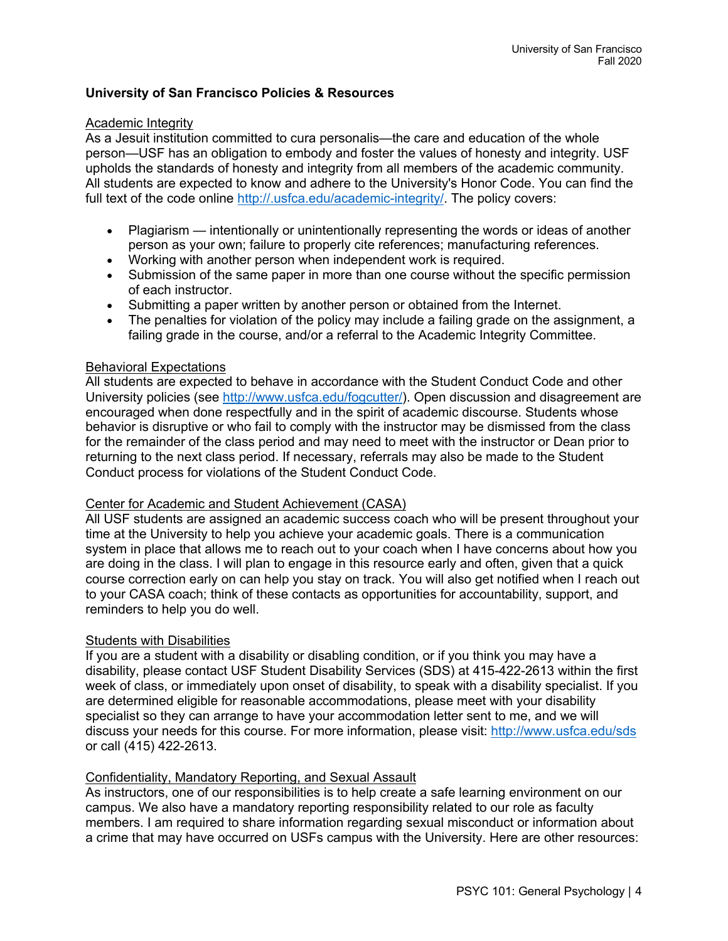## **University of San Francisco Policies & Resources**

### Academic Integrity

As a Jesuit institution committed to cura personalis—the care and education of the whole person—USF has an obligation to embody and foster the values of honesty and integrity. USF upholds the standards of honesty and integrity from all members of the academic community. All students are expected to know and adhere to the University's Honor Code. You can find the full text of the code online http://.usfca.edu/academic-integrity/. The policy covers:

- Plagiarism intentionally or unintentionally representing the words or ideas of another person as your own; failure to properly cite references; manufacturing references.
- Working with another person when independent work is required.
- Submission of the same paper in more than one course without the specific permission of each instructor.
- Submitting a paper written by another person or obtained from the Internet.
- The penalties for violation of the policy may include a failing grade on the assignment, a failing grade in the course, and/or a referral to the Academic Integrity Committee.

### Behavioral Expectations

All students are expected to behave in accordance with the Student Conduct Code and other University policies (see http://www.usfca.edu/fogcutter/). Open discussion and disagreement are encouraged when done respectfully and in the spirit of academic discourse. Students whose behavior is disruptive or who fail to comply with the instructor may be dismissed from the class for the remainder of the class period and may need to meet with the instructor or Dean prior to returning to the next class period. If necessary, referrals may also be made to the Student Conduct process for violations of the Student Conduct Code.

### Center for Academic and Student Achievement (CASA)

All USF students are assigned an academic success coach who will be present throughout your time at the University to help you achieve your academic goals. There is a communication system in place that allows me to reach out to your coach when I have concerns about how you are doing in the class. I will plan to engage in this resource early and often, given that a quick course correction early on can help you stay on track. You will also get notified when I reach out to your CASA coach; think of these contacts as opportunities for accountability, support, and reminders to help you do well.

### Students with Disabilities

If you are a student with a disability or disabling condition, or if you think you may have a disability, please contact USF Student Disability Services (SDS) at 415-422-2613 within the first week of class, or immediately upon onset of disability, to speak with a disability specialist. If you are determined eligible for reasonable accommodations, please meet with your disability specialist so they can arrange to have your accommodation letter sent to me, and we will discuss your needs for this course. For more information, please visit: http://www.usfca.edu/sds or call (415) 422-2613.

### Confidentiality, Mandatory Reporting, and Sexual Assault

As instructors, one of our responsibilities is to help create a safe learning environment on our campus. We also have a mandatory reporting responsibility related to our role as faculty members. I am required to share information regarding sexual misconduct or information about a crime that may have occurred on USFs campus with the University. Here are other resources: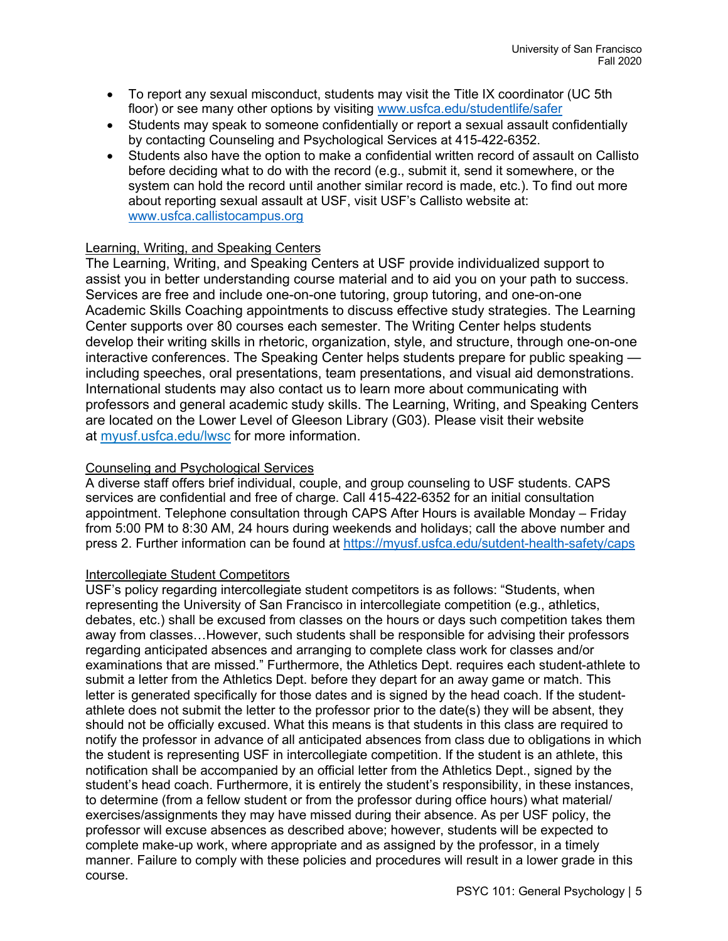- To report any sexual misconduct, students may visit the Title IX coordinator (UC 5th floor) or see many other options by visiting www.usfca.edu/studentlife/safer
- Students may speak to someone confidentially or report a sexual assault confidentially by contacting Counseling and Psychological Services at 415-422-6352.
- Students also have the option to make a confidential written record of assault on Callisto before deciding what to do with the record (e.g., submit it, send it somewhere, or the system can hold the record until another similar record is made, etc.). To find out more about reporting sexual assault at USF, visit USF's Callisto website at: www.usfca.callistocampus.org

# Learning, Writing, and Speaking Centers

The Learning, Writing, and Speaking Centers at USF provide individualized support to assist you in better understanding course material and to aid you on your path to success. Services are free and include one-on-one tutoring, group tutoring, and one-on-one Academic Skills Coaching appointments to discuss effective study strategies. The Learning Center supports over 80 courses each semester. The Writing Center helps students develop their writing skills in rhetoric, organization, style, and structure, through one-on-one interactive conferences. The Speaking Center helps students prepare for public speaking including speeches, oral presentations, team presentations, and visual aid demonstrations. International students may also contact us to learn more about communicating with professors and general academic study skills. The Learning, Writing, and Speaking Centers are located on the Lower Level of Gleeson Library (G03). Please visit their website at myusf.usfca.edu/lwsc for more information.

## Counseling and Psychological Services

A diverse staff offers brief individual, couple, and group counseling to USF students. CAPS services are confidential and free of charge. Call 415-422-6352 for an initial consultation appointment. Telephone consultation through CAPS After Hours is available Monday – Friday from 5:00 PM to 8:30 AM, 24 hours during weekends and holidays; call the above number and press 2. Further information can be found at https://myusf.usfca.edu/sutdent-health-safety/caps

### Intercollegiate Student Competitors

USF's policy regarding intercollegiate student competitors is as follows: "Students, when representing the University of San Francisco in intercollegiate competition (e.g., athletics, debates, etc.) shall be excused from classes on the hours or days such competition takes them away from classes…However, such students shall be responsible for advising their professors regarding anticipated absences and arranging to complete class work for classes and/or examinations that are missed." Furthermore, the Athletics Dept. requires each student-athlete to submit a letter from the Athletics Dept. before they depart for an away game or match. This letter is generated specifically for those dates and is signed by the head coach. If the studentathlete does not submit the letter to the professor prior to the date(s) they will be absent, they should not be officially excused. What this means is that students in this class are required to notify the professor in advance of all anticipated absences from class due to obligations in which the student is representing USF in intercollegiate competition. If the student is an athlete, this notification shall be accompanied by an official letter from the Athletics Dept., signed by the student's head coach. Furthermore, it is entirely the student's responsibility, in these instances, to determine (from a fellow student or from the professor during office hours) what material/ exercises/assignments they may have missed during their absence. As per USF policy, the professor will excuse absences as described above; however, students will be expected to complete make-up work, where appropriate and as assigned by the professor, in a timely manner. Failure to comply with these policies and procedures will result in a lower grade in this course.